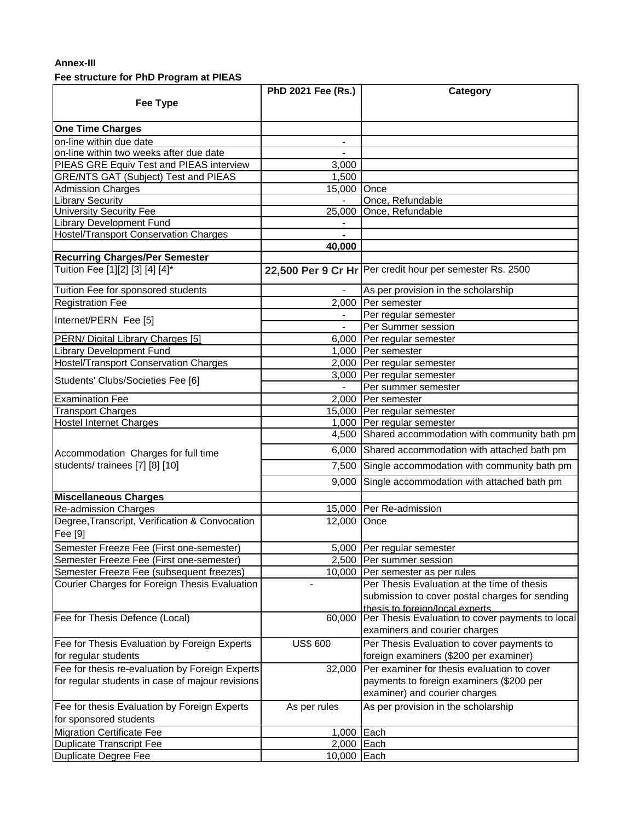## **Annex-III**

## **Fee structure for PhD Program at PIEAS**

|                                                           | PhD 2021 Fee (Rs.)       | Category                                                   |
|-----------------------------------------------------------|--------------------------|------------------------------------------------------------|
| Fee Type                                                  |                          |                                                            |
|                                                           |                          |                                                            |
| <b>One Time Charges</b>                                   |                          |                                                            |
| on-line within due date                                   | $\overline{\phantom{a}}$ |                                                            |
| on-line within two weeks after due date                   |                          |                                                            |
| PIEAS GRE Equiv Test and PIEAS interview                  | 3,000                    |                                                            |
| <b>GRE/NTS GAT (Subject) Test and PIEAS</b>               | 1,500                    |                                                            |
| <b>Admission Charges</b>                                  | 15,000 Once              |                                                            |
| <b>Library Security</b>                                   | $\overline{a}$           | Once, Refundable                                           |
| <b>University Security Fee</b>                            |                          | 25,000 Once, Refundable                                    |
| <b>Library Development Fund</b>                           |                          |                                                            |
| <b>Hostel/Transport Conservation Charges</b>              |                          |                                                            |
|                                                           | 40,000                   |                                                            |
| <b>Recurring Charges/Per Semester</b>                     |                          |                                                            |
| Tuition Fee [1][2] [3] [4] [4]*                           |                          | 22,500 Per 9 Cr Hr   Per credit hour per semester Rs. 2500 |
| Tuition Fee for sponsored students                        |                          | As per provision in the scholarship                        |
| <b>Registration Fee</b>                                   |                          | 2,000 Per semester                                         |
| Internet/PERN Fee [5]                                     |                          | Per regular semester                                       |
|                                                           |                          | Per Summer session                                         |
| PERN/ Digital Library Charges [5]                         |                          | 6,000 Per regular semester                                 |
| <b>Library Development Fund</b>                           |                          | 1,000 Per semester                                         |
| Hostel/Transport Conservation Charges                     |                          | 2,000 Per regular semester                                 |
|                                                           |                          | 3,000 Per regular semester                                 |
| Students' Clubs/Societies Fee [6]                         |                          | Per summer semester                                        |
| <b>Examination Fee</b>                                    |                          | 2,000 Per semester                                         |
| <b>Transport Charges</b>                                  |                          | 15,000 Per regular semester                                |
| <b>Hostel Internet Charges</b>                            |                          | 1,000 Per regular semester                                 |
|                                                           |                          | 4,500 Shared accommodation with community bath pm          |
| Accommodation Charges for full time                       |                          | 6,000 Shared accommodation with attached bath pm           |
| students/ trainees [7] [8] [10]                           |                          | 7,500 Single accommodation with community bath pm          |
|                                                           | 9,000                    | Single accommodation with attached bath pm                 |
| <b>Miscellaneous Charges</b>                              |                          |                                                            |
| <b>Re-admission Charges</b>                               |                          | 15,000 Per Re-admission                                    |
| Degree, Transcript, Verification & Convocation<br>Fee [9] | 12,000 Once              |                                                            |
| Semester Freeze Fee (First one-semester)                  |                          | 5,000 Per regular semester                                 |
| Semester Freeze Fee (First one-semester)                  |                          | 2,500   Per summer session                                 |
| Semester Freeze Fee (subsequent freezes)                  |                          | 10,000 Per semester as per rules                           |
| Courier Charges for Foreign Thesis Evaluation             |                          | Per Thesis Evaluation at the time of thesis                |
|                                                           |                          | submission to cover postal charges for sending             |
|                                                           |                          | thesis to foreign/local experts                            |
| Fee for Thesis Defence (Local)                            | 60,000                   | Per Thesis Evaluation to cover payments to local           |
|                                                           |                          | examiners and courier charges                              |
| Fee for Thesis Evaluation by Foreign Experts              | <b>US\$ 600</b>          | Per Thesis Evaluation to cover payments to                 |
| for regular students                                      |                          | foreign examiners (\$200 per examiner)                     |
| Fee for thesis re-evaluation by Foreign Experts           |                          | 32,000 Per examiner for thesis evaluation to cover         |
| for regular students in case of majour revisions          |                          | payments to foreign examiners (\$200 per                   |
|                                                           |                          | examiner) and courier charges                              |
| Fee for thesis Evaluation by Foreign Experts              | As per rules             | As per provision in the scholarship                        |
| for sponsored students                                    |                          |                                                            |
| <b>Migration Certificate Fee</b>                          | 1,000                    | Each                                                       |
| <b>Duplicate Transcript Fee</b>                           | 2,000 Each               |                                                            |
| <b>Duplicate Degree Fee</b>                               | 10,000 Each              |                                                            |
|                                                           |                          |                                                            |